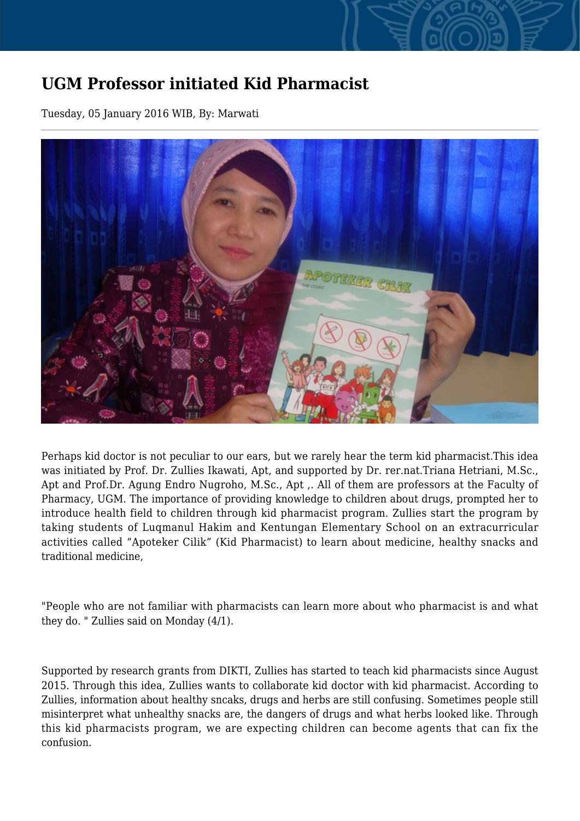## **UGM Professor initiated Kid Pharmacist**

Tuesday, 05 January 2016 WIB, By: Marwati



Perhaps kid doctor is not peculiar to our ears, but we rarely hear the term kid pharmacist.This idea was initiated by Prof. Dr. Zullies Ikawati, Apt, and supported by Dr. rer.nat.Triana Hetriani, M.Sc., Apt and Prof.Dr. Agung Endro Nugroho, M.Sc., Apt ,. All of them are professors at the Faculty of Pharmacy, UGM. The importance of providing knowledge to children about drugs, prompted her to introduce health field to children through kid pharmacist program. Zullies start the program by taking students of Luqmanul Hakim and Kentungan Elementary School on an extracurricular activities called "Apoteker Cilik" (Kid Pharmacist) to learn about medicine, healthy snacks and traditional medicine,

"People who are not familiar with pharmacists can learn more about who pharmacist is and what they do. " Zullies said on Monday (4/1).

Supported by research grants from DIKTI, Zullies has started to teach kid pharmacists since August 2015. Through this idea, Zullies wants to collaborate kid doctor with kid pharmacist. According to Zullies, information about healthy sncaks, drugs and herbs are still confusing. Sometimes people still misinterpret what unhealthy snacks are, the dangers of drugs and what herbs looked like. Through this kid pharmacists program, we are expecting children can become agents that can fix the confusion.